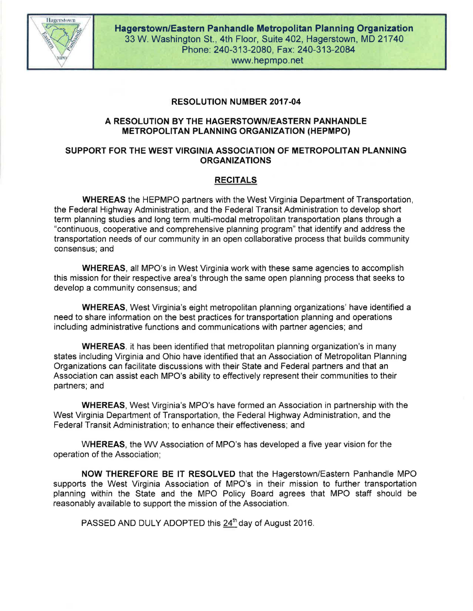

## RESOLUTION NUMBER 2017-04

### A RESOLUTION BY THE HAGERSTOWN/EASTERN PANHANDLE METROPOLITAN PLANNING ORGANIZATION (HEPMPO)

### SUPPORT FOR THE WEST VIRGINIA ASSOCIATION OF METROPOLITAN PLANNING ORGANIZATIONS

# RECITALS

WHEREAS the HEPMPO partners with the West Virginia Department of Transportation, the Federal Highway Administration, and the Federal Transit Administration to develop short term planning studies and long term multi-modal metropolitan transportation plans through a "continuous, cooperative and comprehensive planning program" that identify and address the transportation needs of our community in an open collaborative process that builds community consensus; and

WHEREAS, all MPO's in West Virginia work with these same agencies to accomplish this mission for their respective area's through the same open planning process that seeks to develop a community consensus; and

WHEREAS, West Virginia's eight metropolitan planning organizations' have identified a need to share information on the best practices for transportation planning and operations including administrative functions and communications with partner agencies; and

WHEREAS. it has been identified that metropolitan planning organization's in many states including Virginia and Ohio have identified that an Association of Metropolitan Planning Organizations can facilitate discussions with their State and Federal partners and that an Association can assist each MPO's ability to effectively represent their communities to their partners; and

WHEREAS, West Virginia's MPO's have formed an Association in partnership with the West Virginia Department of Transportation, the Federal Highway Administration, and the Federal Transit Administration; to enhance their effectiveness; and

WHEREAS, the WV Association of MPO's has developed a five year vision for the operation of the Association;

NOW THEREFORE BE IT RESOLVED that the Hagerstown/Eastern Panhandle MPO supports the West Virginia Association of MPO's in their mission to further transportation planning within the State and the MPO Policy Board agrees that MPO staff should be reasonably available to support the mission of the Association.

PASSED AND DULY ADOPTED this  $24<sup>th</sup>$  day of August 2016.